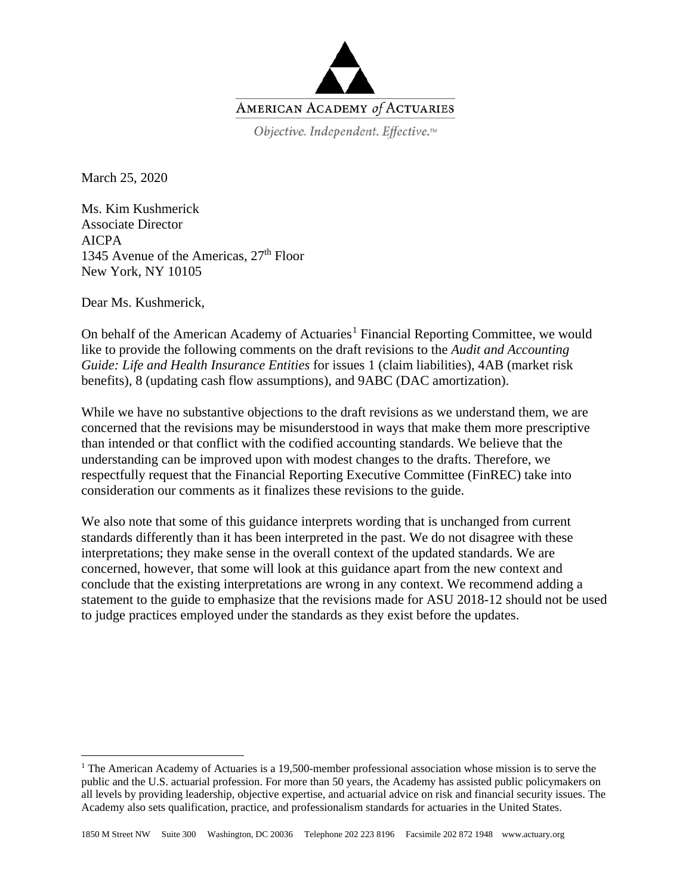

Objective. Independent. Effective.™

March 25, 2020

Ms. Kim Kushmerick Associate Director AICPA 1345 Avenue of the Americas,  $27<sup>th</sup>$  Floor New York, NY 10105

Dear Ms. Kushmerick,

l

On behalf of the American Academy of Actuaries<sup>[1](#page-0-0)</sup> Financial Reporting Committee, we would like to provide the following comments on the draft revisions to the *Audit and Accounting Guide: Life and Health Insurance Entities* for issues 1 (claim liabilities), 4AB (market risk benefits), 8 (updating cash flow assumptions), and 9ABC (DAC amortization).

While we have no substantive objections to the draft revisions as we understand them, we are concerned that the revisions may be misunderstood in ways that make them more prescriptive than intended or that conflict with the codified accounting standards. We believe that the understanding can be improved upon with modest changes to the drafts. Therefore, we respectfully request that the Financial Reporting Executive Committee (FinREC) take into consideration our comments as it finalizes these revisions to the guide.

We also note that some of this guidance interprets wording that is unchanged from current standards differently than it has been interpreted in the past. We do not disagree with these interpretations; they make sense in the overall context of the updated standards. We are concerned, however, that some will look at this guidance apart from the new context and conclude that the existing interpretations are wrong in any context. We recommend adding a statement to the guide to emphasize that the revisions made for ASU 2018-12 should not be used to judge practices employed under the standards as they exist before the updates.

<span id="page-0-0"></span><sup>&</sup>lt;sup>1</sup> The American Academy of Actuaries is a 19,500-member professional association whose mission is to serve the public and the U.S. actuarial profession. For more than 50 years, the Academy has assisted public policymakers on all levels by providing leadership, objective expertise, and actuarial advice on risk and financial security issues. The Academy also sets qualification, practice, and professionalism standards for actuaries in the United States.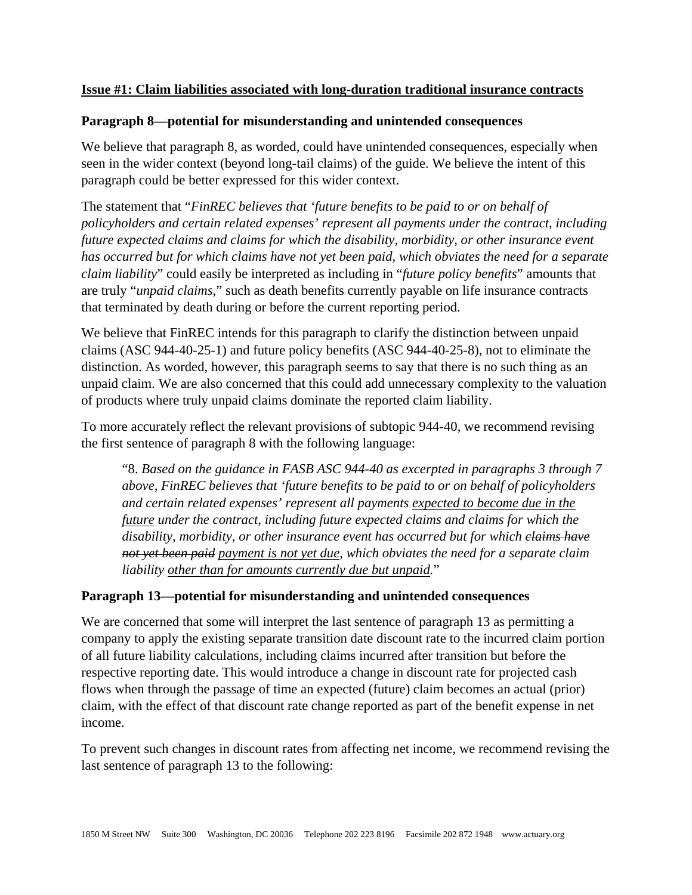# **Issue #1: Claim liabilities associated with long-duration traditional insurance contracts**

# **Paragraph 8—potential for misunderstanding and unintended consequences**

We believe that paragraph 8, as worded, could have unintended consequences, especially when seen in the wider context (beyond long-tail claims) of the guide. We believe the intent of this paragraph could be better expressed for this wider context.

The statement that "*FinREC believes that 'future benefits to be paid to or on behalf of policyholders and certain related expenses' represent all payments under the contract, including future expected claims and claims for which the disability, morbidity, or other insurance event has occurred but for which claims have not yet been paid, which obviates the need for a separate claim liability*" could easily be interpreted as including in "*future policy benefits*" amounts that are truly "*unpaid claims*," such as death benefits currently payable on life insurance contracts that terminated by death during or before the current reporting period.

We believe that FinREC intends for this paragraph to clarify the distinction between unpaid claims (ASC 944-40-25-1) and future policy benefits (ASC 944-40-25-8), not to eliminate the distinction. As worded, however, this paragraph seems to say that there is no such thing as an unpaid claim. We are also concerned that this could add unnecessary complexity to the valuation of products where truly unpaid claims dominate the reported claim liability.

To more accurately reflect the relevant provisions of subtopic 944-40, we recommend revising the first sentence of paragraph 8 with the following language:

"8. *Based on the guidance in FASB ASC 944-40 as excerpted in paragraphs 3 through 7 above, FinREC believes that 'future benefits to be paid to or on behalf of policyholders and certain related expenses' represent all payments expected to become due in the future under the contract, including future expected claims and claims for which the disability, morbidity, or other insurance event has occurred but for which claims have not yet been paid payment is not yet due, which obviates the need for a separate claim liability other than for amounts currently due but unpaid.*"

### **Paragraph 13—potential for misunderstanding and unintended consequences**

We are concerned that some will interpret the last sentence of paragraph 13 as permitting a company to apply the existing separate transition date discount rate to the incurred claim portion of all future liability calculations, including claims incurred after transition but before the respective reporting date. This would introduce a change in discount rate for projected cash flows when through the passage of time an expected (future) claim becomes an actual (prior) claim, with the effect of that discount rate change reported as part of the benefit expense in net income.

To prevent such changes in discount rates from affecting net income, we recommend revising the last sentence of paragraph 13 to the following: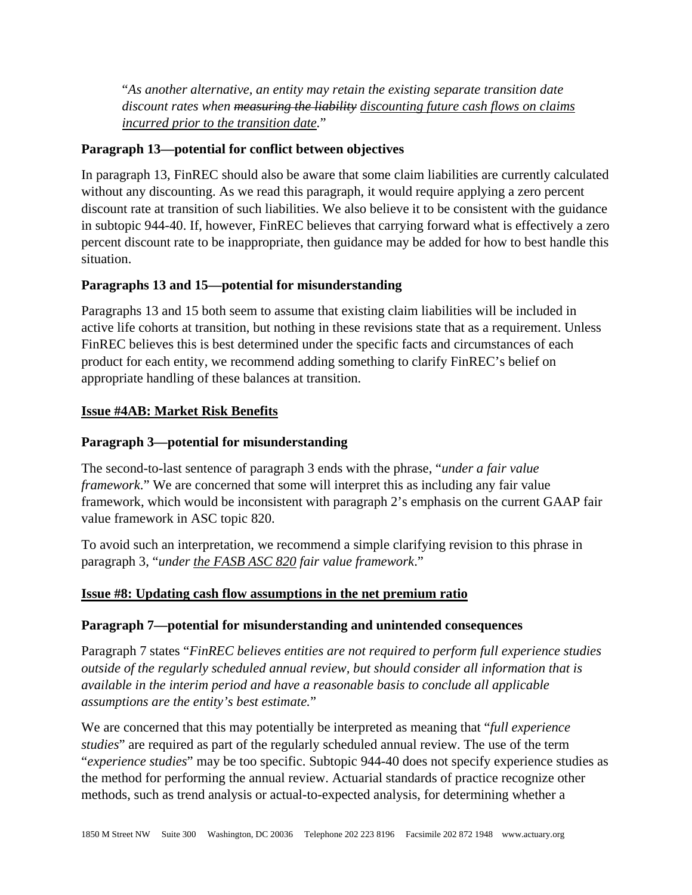"*As another alternative, an entity may retain the existing separate transition date discount rates when measuring the liability discounting future cash flows on claims incurred prior to the transition date.*"

# **Paragraph 13—potential for conflict between objectives**

In paragraph 13, FinREC should also be aware that some claim liabilities are currently calculated without any discounting. As we read this paragraph, it would require applying a zero percent discount rate at transition of such liabilities. We also believe it to be consistent with the guidance in subtopic 944-40. If, however, FinREC believes that carrying forward what is effectively a zero percent discount rate to be inappropriate, then guidance may be added for how to best handle this situation.

# **Paragraphs 13 and 15—potential for misunderstanding**

Paragraphs 13 and 15 both seem to assume that existing claim liabilities will be included in active life cohorts at transition, but nothing in these revisions state that as a requirement. Unless FinREC believes this is best determined under the specific facts and circumstances of each product for each entity, we recommend adding something to clarify FinREC's belief on appropriate handling of these balances at transition.

# **Issue #4AB: Market Risk Benefits**

### **Paragraph 3—potential for misunderstanding**

The second-to-last sentence of paragraph 3 ends with the phrase, "*under a fair value framework*." We are concerned that some will interpret this as including any fair value framework, which would be inconsistent with paragraph 2's emphasis on the current GAAP fair value framework in ASC topic 820.

To avoid such an interpretation, we recommend a simple clarifying revision to this phrase in paragraph 3, "*under the FASB ASC 820 fair value framework*."

### **Issue #8: Updating cash flow assumptions in the net premium ratio**

### **Paragraph 7—potential for misunderstanding and unintended consequences**

Paragraph 7 states "*FinREC believes entities are not required to perform full experience studies outside of the regularly scheduled annual review, but should consider all information that is available in the interim period and have a reasonable basis to conclude all applicable assumptions are the entity's best estimate.*"

We are concerned that this may potentially be interpreted as meaning that "*full experience studies*" are required as part of the regularly scheduled annual review. The use of the term "*experience studies*" may be too specific. Subtopic 944-40 does not specify experience studies as the method for performing the annual review. Actuarial standards of practice recognize other methods, such as trend analysis or actual-to-expected analysis, for determining whether a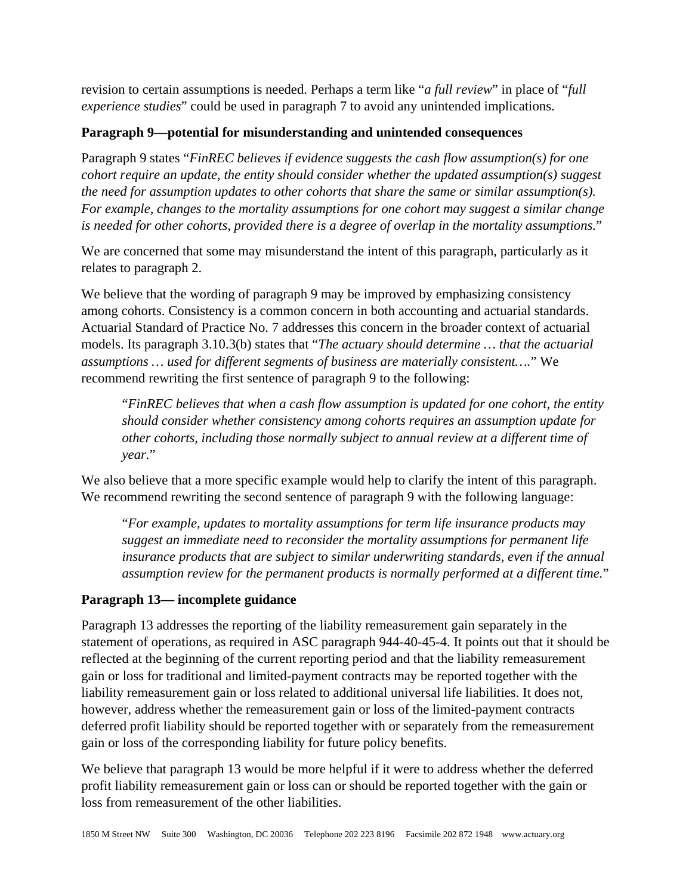revision to certain assumptions is needed. Perhaps a term like "*a full review*" in place of "*full experience studies*" could be used in paragraph 7 to avoid any unintended implications.

# **Paragraph 9—potential for misunderstanding and unintended consequences**

Paragraph 9 states "*FinREC believes if evidence suggests the cash flow assumption(s) for one cohort require an update, the entity should consider whether the updated assumption(s) suggest the need for assumption updates to other cohorts that share the same or similar assumption(s). For example, changes to the mortality assumptions for one cohort may suggest a similar change is needed for other cohorts, provided there is a degree of overlap in the mortality assumptions.*"

We are concerned that some may misunderstand the intent of this paragraph, particularly as it relates to paragraph 2.

We believe that the wording of paragraph 9 may be improved by emphasizing consistency among cohorts. Consistency is a common concern in both accounting and actuarial standards. Actuarial Standard of Practice No. 7 addresses this concern in the broader context of actuarial models. Its paragraph 3.10.3(b) states that "*The actuary should determine … that the actuarial assumptions … used for different segments of business are materially consistent….*" We recommend rewriting the first sentence of paragraph 9 to the following:

"*FinREC believes that when a cash flow assumption is updated for one cohort, the entity should consider whether consistency among cohorts requires an assumption update for other cohorts, including those normally subject to annual review at a different time of year.*"

We also believe that a more specific example would help to clarify the intent of this paragraph. We recommend rewriting the second sentence of paragraph 9 with the following language:

"*For example, updates to mortality assumptions for term life insurance products may suggest an immediate need to reconsider the mortality assumptions for permanent life insurance products that are subject to similar underwriting standards, even if the annual assumption review for the permanent products is normally performed at a different time.*"

# **Paragraph 13— incomplete guidance**

Paragraph 13 addresses the reporting of the liability remeasurement gain separately in the statement of operations, as required in ASC paragraph 944-40-45-4. It points out that it should be reflected at the beginning of the current reporting period and that the liability remeasurement gain or loss for traditional and limited-payment contracts may be reported together with the liability remeasurement gain or loss related to additional universal life liabilities. It does not, however, address whether the remeasurement gain or loss of the limited-payment contracts deferred profit liability should be reported together with or separately from the remeasurement gain or loss of the corresponding liability for future policy benefits.

We believe that paragraph 13 would be more helpful if it were to address whether the deferred profit liability remeasurement gain or loss can or should be reported together with the gain or loss from remeasurement of the other liabilities.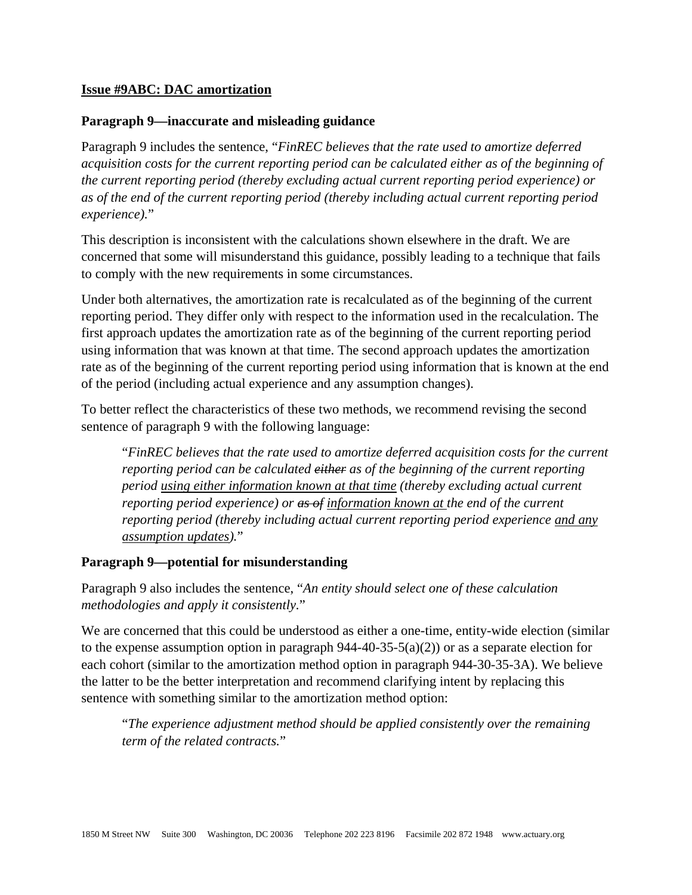### **Issue #9ABC: DAC amortization**

### **Paragraph 9—inaccurate and misleading guidance**

Paragraph 9 includes the sentence, "*FinREC believes that the rate used to amortize deferred acquisition costs for the current reporting period can be calculated either as of the beginning of the current reporting period (thereby excluding actual current reporting period experience) or as of the end of the current reporting period (thereby including actual current reporting period experience).*"

This description is inconsistent with the calculations shown elsewhere in the draft. We are concerned that some will misunderstand this guidance, possibly leading to a technique that fails to comply with the new requirements in some circumstances.

Under both alternatives, the amortization rate is recalculated as of the beginning of the current reporting period. They differ only with respect to the information used in the recalculation. The first approach updates the amortization rate as of the beginning of the current reporting period using information that was known at that time. The second approach updates the amortization rate as of the beginning of the current reporting period using information that is known at the end of the period (including actual experience and any assumption changes).

To better reflect the characteristics of these two methods, we recommend revising the second sentence of paragraph 9 with the following language:

"*FinREC believes that the rate used to amortize deferred acquisition costs for the current reporting period can be calculated either as of the beginning of the current reporting period using either information known at that time (thereby excluding actual current reporting period experience) or as of information known at the end of the current reporting period (thereby including actual current reporting period experience and any assumption updates).*"

### **Paragraph 9—potential for misunderstanding**

Paragraph 9 also includes the sentence, "*An entity should select one of these calculation methodologies and apply it consistently.*"

We are concerned that this could be understood as either a one-time, entity-wide election (similar to the expense assumption option in paragraph  $944-40-35-5(a)(2)$  or as a separate election for each cohort (similar to the amortization method option in paragraph 944-30-35-3A). We believe the latter to be the better interpretation and recommend clarifying intent by replacing this sentence with something similar to the amortization method option:

"*The experience adjustment method should be applied consistently over the remaining term of the related contracts.*"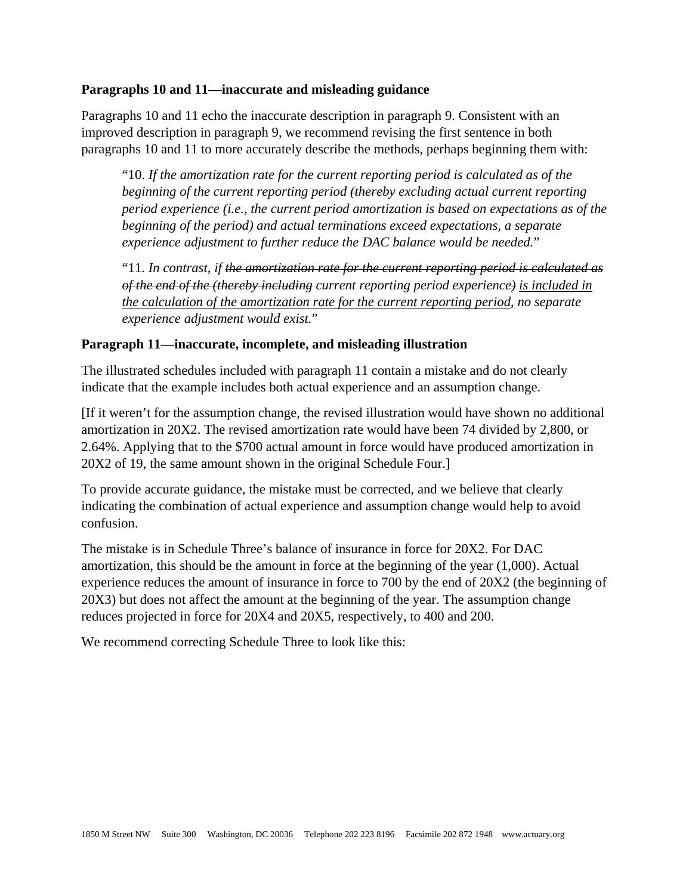### **Paragraphs 10 and 11—inaccurate and misleading guidance**

Paragraphs 10 and 11 echo the inaccurate description in paragraph 9. Consistent with an improved description in paragraph 9, we recommend revising the first sentence in both paragraphs 10 and 11 to more accurately describe the methods, perhaps beginning them with:

"10. *If the amortization rate for the current reporting period is calculated as of the beginning of the current reporting period (thereby excluding actual current reporting period experience (i.e., the current period amortization is based on expectations as of the beginning of the period) and actual terminations exceed expectations, a separate experience adjustment to further reduce the DAC balance would be needed.*"

"11. *In contrast, if the amortization rate for the current reporting period is calculated as of the end of the (thereby including current reporting period experience) is included in the calculation of the amortization rate for the current reporting period, no separate experience adjustment would exist.*"

# **Paragraph 11—inaccurate, incomplete, and misleading illustration**

The illustrated schedules included with paragraph 11 contain a mistake and do not clearly indicate that the example includes both actual experience and an assumption change.

[If it weren't for the assumption change, the revised illustration would have shown no additional amortization in 20X2. The revised amortization rate would have been 74 divided by 2,800, or 2.64%. Applying that to the \$700 actual amount in force would have produced amortization in 20X2 of 19, the same amount shown in the original Schedule Four.]

To provide accurate guidance, the mistake must be corrected, and we believe that clearly indicating the combination of actual experience and assumption change would help to avoid confusion.

The mistake is in Schedule Three's balance of insurance in force for 20X2. For DAC amortization, this should be the amount in force at the beginning of the year (1,000). Actual experience reduces the amount of insurance in force to 700 by the end of 20X2 (the beginning of 20X3) but does not affect the amount at the beginning of the year. The assumption change reduces projected in force for 20X4 and 20X5, respectively, to 400 and 200.

We recommend correcting Schedule Three to look like this: